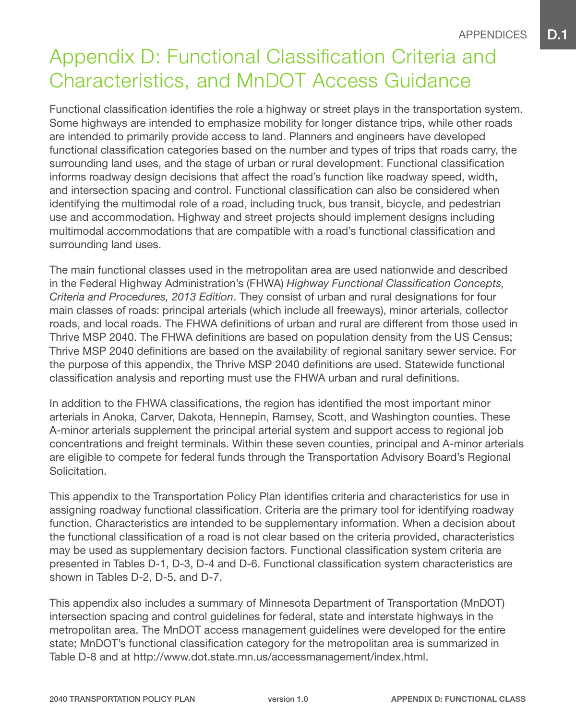# Appendix D: Functional Classification Criteria and Characteristics, and MnDOT Access Guidance

Functional classification identifies the role a highway or street plays in the transportation system. Some highways are intended to emphasize mobility for longer distance trips, while other roads are intended to primarily provide access to land. Planners and engineers have developed functional classification categories based on the number and types of trips that roads carry, the surrounding land uses, and the stage of urban or rural development. Functional classification informs roadway design decisions that affect the road's function like roadway speed, width, and intersection spacing and control. Functional classification can also be considered when identifying the multimodal role of a road, including truck, bus transit, bicycle, and pedestrian use and accommodation. Highway and street projects should implement designs including multimodal accommodations that are compatible with a road's functional classification and surrounding land uses.

The main functional classes used in the metropolitan area are used nationwide and described in the Federal Highway Administration's (FHWA) *Highway Functional Classification Concepts, Criteria and Procedures, 2013 Edition*. They consist of urban and rural designations for four main classes of roads: principal arterials (which include all freeways), minor arterials, collector roads, and local roads. The FHWA definitions of urban and rural are different from those used in Thrive MSP 2040. The FHWA definitions are based on population density from the US Census; Thrive MSP 2040 definitions are based on the availability of regional sanitary sewer service. For the purpose of this appendix, the Thrive MSP 2040 definitions are used. Statewide functional classification analysis and reporting must use the FHWA urban and rural definitions.

In addition to the FHWA classifications, the region has identified the most important minor arterials in Anoka, Carver, Dakota, Hennepin, Ramsey, Scott, and Washington counties. These A-minor arterials supplement the principal arterial system and support access to regional job concentrations and freight terminals. Within these seven counties, principal and A-minor arterials are eligible to compete for federal funds through the Transportation Advisory Board's Regional Solicitation.

This appendix to the Transportation Policy Plan identifies criteria and characteristics for use in assigning roadway functional classification. Criteria are the primary tool for identifying roadway function. Characteristics are intended to be supplementary information. When a decision about the functional classification of a road is not clear based on the criteria provided, characteristics may be used as supplementary decision factors. Functional classification system criteria are presented in Tables D-1, D-3, D-4 and D-6. Functional classification system characteristics are shown in Tables D-2, D-5, and D-7.

This appendix also includes a summary of Minnesota Department of Transportation (MnDOT) intersection spacing and control guidelines for federal, state and interstate highways in the metropolitan area. The MnDOT access management guidelines were developed for the entire state; MnDOT's functional classification category for the metropolitan area is summarized in Table D-8 and at http://www.dot.state.mn.us/accessmanagement/index.html.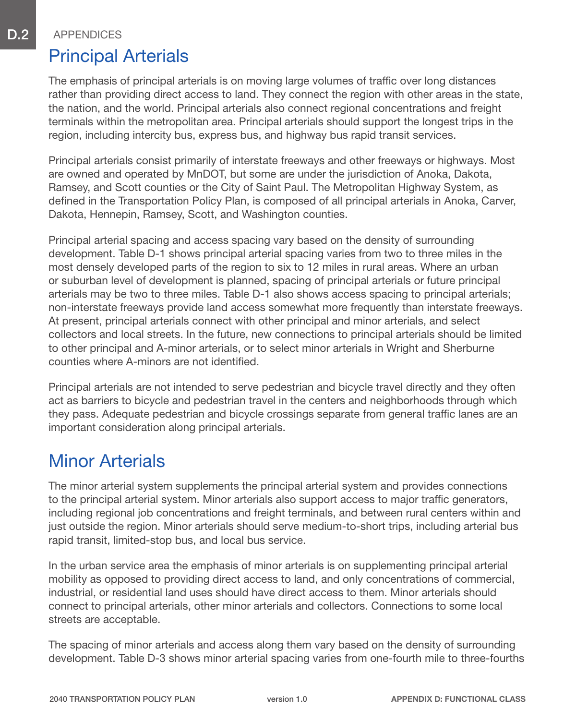#### Principal Arterials

The emphasis of principal arterials is on moving large volumes of traffic over long distances rather than providing direct access to land. They connect the region with other areas in the state, the nation, and the world. Principal arterials also connect regional concentrations and freight terminals within the metropolitan area. Principal arterials should support the longest trips in the region, including intercity bus, express bus, and highway bus rapid transit services.

Principal arterials consist primarily of interstate freeways and other freeways or highways. Most are owned and operated by MnDOT, but some are under the jurisdiction of Anoka, Dakota, Ramsey, and Scott counties or the City of Saint Paul. The Metropolitan Highway System, as defined in the Transportation Policy Plan, is composed of all principal arterials in Anoka, Carver, Dakota, Hennepin, Ramsey, Scott, and Washington counties.

Principal arterial spacing and access spacing vary based on the density of surrounding development. Table D-1 shows principal arterial spacing varies from two to three miles in the most densely developed parts of the region to six to 12 miles in rural areas. Where an urban or suburban level of development is planned, spacing of principal arterials or future principal arterials may be two to three miles. Table D-1 also shows access spacing to principal arterials; non-interstate freeways provide land access somewhat more frequently than interstate freeways. At present, principal arterials connect with other principal and minor arterials, and select collectors and local streets. In the future, new connections to principal arterials should be limited to other principal and A-minor arterials, or to select minor arterials in Wright and Sherburne counties where A-minors are not identified.

Principal arterials are not intended to serve pedestrian and bicycle travel directly and they often act as barriers to bicycle and pedestrian travel in the centers and neighborhoods through which they pass. Adequate pedestrian and bicycle crossings separate from general traffic lanes are an important consideration along principal arterials.

### Minor Arterials

The minor arterial system supplements the principal arterial system and provides connections to the principal arterial system. Minor arterials also support access to major traffic generators, including regional job concentrations and freight terminals, and between rural centers within and just outside the region. Minor arterials should serve medium-to-short trips, including arterial bus rapid transit, limited-stop bus, and local bus service.

In the urban service area the emphasis of minor arterials is on supplementing principal arterial mobility as opposed to providing direct access to land, and only concentrations of commercial, industrial, or residential land uses should have direct access to them. Minor arterials should connect to principal arterials, other minor arterials and collectors. Connections to some local streets are acceptable.

The spacing of minor arterials and access along them vary based on the density of surrounding development. Table D-3 shows minor arterial spacing varies from one-fourth mile to three-fourths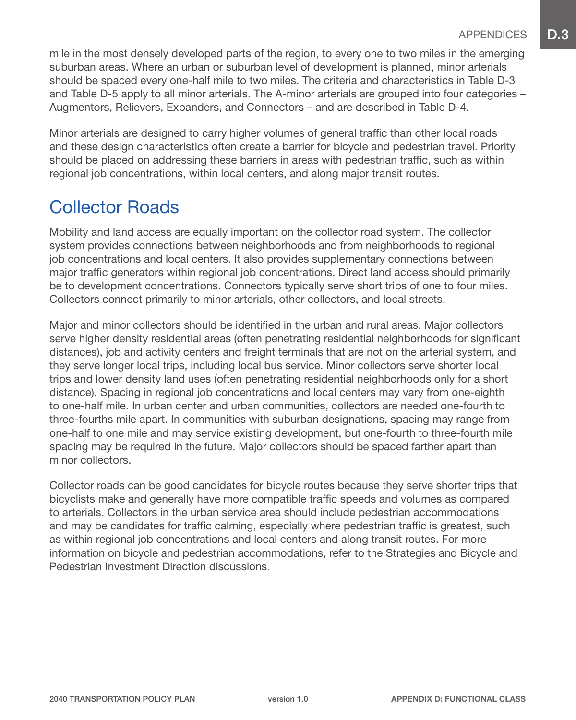mile in the most densely developed parts of the region, to every one to two miles in the emerging suburban areas. Where an urban or suburban level of development is planned, minor arterials should be spaced every one-half mile to two miles. The criteria and characteristics in Table D-3 and Table D-5 apply to all minor arterials. The A-minor arterials are grouped into four categories – Augmentors, Relievers, Expanders, and Connectors – and are described in Table D-4.

Minor arterials are designed to carry higher volumes of general traffic than other local roads and these design characteristics often create a barrier for bicycle and pedestrian travel. Priority should be placed on addressing these barriers in areas with pedestrian traffic, such as within regional job concentrations, within local centers, and along major transit routes.

## Collector Roads

Mobility and land access are equally important on the collector road system. The collector system provides connections between neighborhoods and from neighborhoods to regional job concentrations and local centers. It also provides supplementary connections between major traffic generators within regional job concentrations. Direct land access should primarily be to development concentrations. Connectors typically serve short trips of one to four miles. Collectors connect primarily to minor arterials, other collectors, and local streets.

Major and minor collectors should be identified in the urban and rural areas. Major collectors serve higher density residential areas (often penetrating residential neighborhoods for significant distances), job and activity centers and freight terminals that are not on the arterial system, and they serve longer local trips, including local bus service. Minor collectors serve shorter local trips and lower density land uses (often penetrating residential neighborhoods only for a short distance). Spacing in regional job concentrations and local centers may vary from one-eighth to one-half mile. In urban center and urban communities, collectors are needed one-fourth to three-fourths mile apart. In communities with suburban designations, spacing may range from one-half to one mile and may service existing development, but one-fourth to three-fourth mile spacing may be required in the future. Major collectors should be spaced farther apart than minor collectors.

Collector roads can be good candidates for bicycle routes because they serve shorter trips that bicyclists make and generally have more compatible traffic speeds and volumes as compared to arterials. Collectors in the urban service area should include pedestrian accommodations and may be candidates for traffic calming, especially where pedestrian traffic is greatest, such as within regional job concentrations and local centers and along transit routes. For more information on bicycle and pedestrian accommodations, refer to the Strategies and Bicycle and Pedestrian Investment Direction discussions.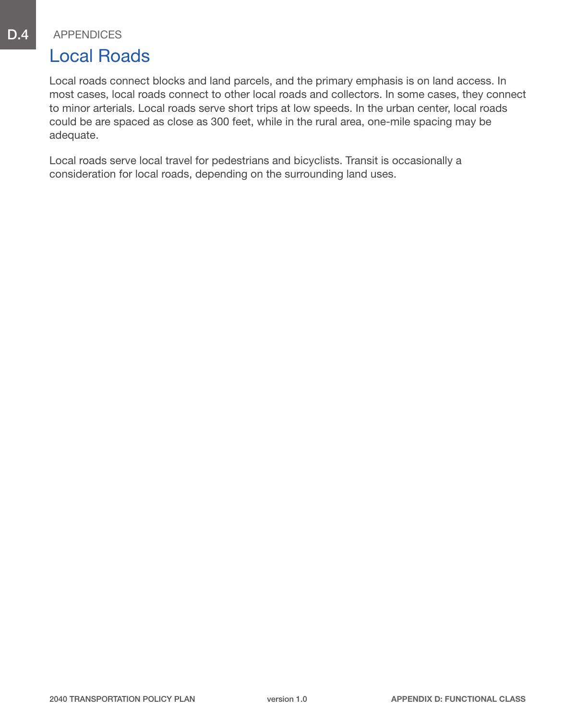#### Local Roads

Local roads connect blocks and land parcels, and the primary emphasis is on land access. In most cases, local roads connect to other local roads and collectors. In some cases, they connect to minor arterials. Local roads serve short trips at low speeds. In the urban center, local roads could be are spaced as close as 300 feet, while in the rural area, one-mile spacing may be adequate.

Local roads serve local travel for pedestrians and bicyclists. Transit is occasionally a consideration for local roads, depending on the surrounding land uses.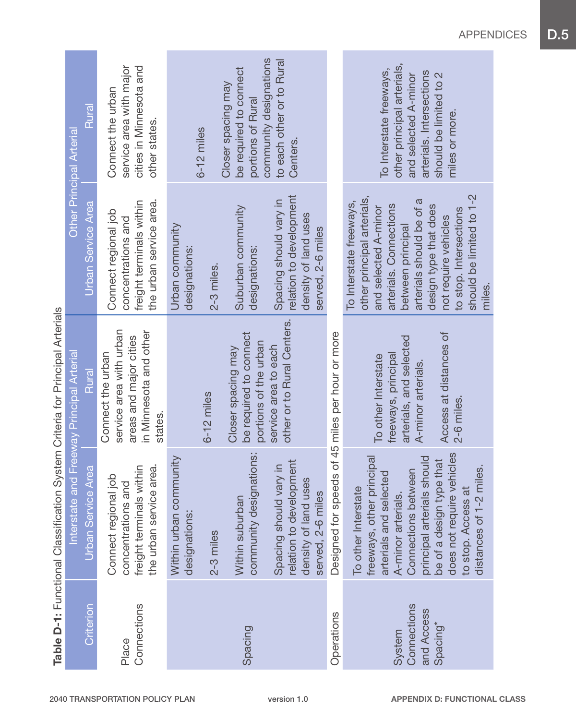| Rural<br><b>Other Principal Arterial</b>           | service area with major<br>cities in Minnesota and<br>Connect the urban<br>other states.                    | $6-12$ miles                                         | be required to connect<br>Closer spacing may<br>portions of Rural     | community designations<br>to each other or to Rural<br>Centers.                                |                                                  | other principal arterials,<br>To Interstate freeways,<br>arterials. Intersections<br>should be limited to 2<br>and selected A-minor<br>miles or more.                                                                                                                     |
|----------------------------------------------------|-------------------------------------------------------------------------------------------------------------|------------------------------------------------------|-----------------------------------------------------------------------|------------------------------------------------------------------------------------------------|--------------------------------------------------|---------------------------------------------------------------------------------------------------------------------------------------------------------------------------------------------------------------------------------------------------------------------------|
| <b>Urban Service Area</b>                          | freight terminals within<br>the urban service area.<br>Connect regional job<br>concentrations and           | Urban community<br>designations:<br>2-3 miles.       | Suburban community<br>designations:                                   | relation to development<br>Spacing should vary in<br>density of land uses<br>served, 2-6 miles |                                                  | should be limited to 1-2<br>other principal arterials,<br>arterials should be of a<br>To Interstate freeways,<br>arterials. Connections<br>design type that does<br>and selected A-minor<br>to stop. Intersections<br>not require vehicles<br>between principal<br>miles. |
| Interstate and Freeway Principal Arterial<br>Rural | service area with urban<br>in Minnesota and other<br>areas and major cities<br>Connect the urban<br>states. | $6-12$ miles                                         | be required to connect<br>portions of the urban<br>Closer spacing may | other or to Rural Centers.<br>service area to each                                             |                                                  | Access at distances of<br>arterials, and selected<br>freeways, principal<br>To other Interstate<br>A-minor arterials.<br>2-6 miles.                                                                                                                                       |
| Urban Service Area                                 | the urban service area.<br>freight terminals within<br>Connect regional job<br>and<br>concentrations        | Within urban community<br>designations:<br>2-3 miles | community designations:<br>Within suburban                            | relation to development<br>Spacing should vary in<br>density of land uses<br>served, 2-6 miles | Designed for speeds of 45 miles per hour or more | does not require vehicles<br>principal arterials should<br>freeways, other principal<br>be of a design type that<br>distances of 1-2 miles.<br>Connections between<br>arterials and selected<br>To other Interstate<br>to stop. Access at<br>A-minor arterials.           |
| Criterion                                          | Connections<br>Place                                                                                        |                                                      | Spacing                                                               |                                                                                                | Operations                                       | Connections<br>and Access<br>Spacing*<br>System                                                                                                                                                                                                                           |

Table D-1: Functional Classification System Criteria for Principal Arterials Table D-1: Functional Classification System Criteria for Principal Arterials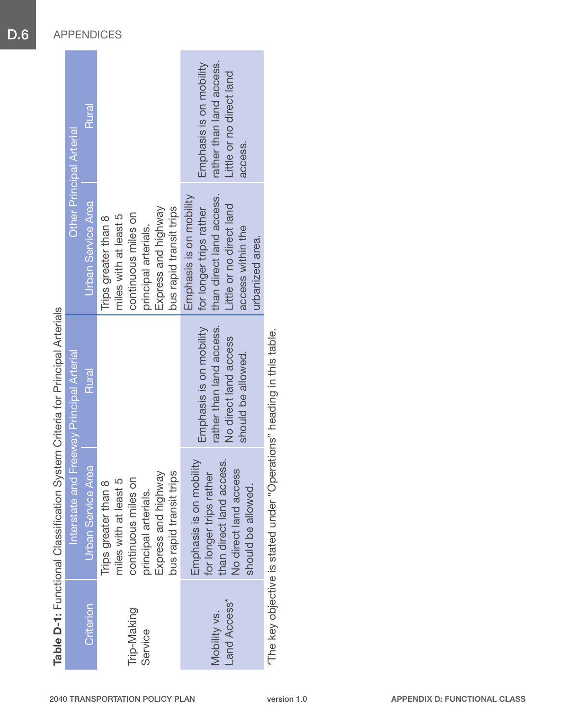|                              | Table D-1: Functional Classification                                                                                                           | System Criteria for Principal Arterials                                                            |                                                                                                                                                    |                                                                                            |
|------------------------------|------------------------------------------------------------------------------------------------------------------------------------------------|----------------------------------------------------------------------------------------------------|----------------------------------------------------------------------------------------------------------------------------------------------------|--------------------------------------------------------------------------------------------|
|                              | Interstate and Freeway Principal Arterial                                                                                                      |                                                                                                    | <b>Other Principal Arterial</b>                                                                                                                    |                                                                                            |
| <b>Criterion</b>             | <b>Urban Service Area</b>                                                                                                                      | Rural                                                                                              | <b>Urban Service Area</b>                                                                                                                          | Rural                                                                                      |
| Trip-Making<br>Service       | Express and highway<br>bus rapid transit trips<br>continuous miles on<br>miles with at least 5<br>Trips greater than 8<br>principal arterials. |                                                                                                    | Express and highway<br>bus rapid transit trips<br>continuous miles on<br>miles with at least 5<br>Trips greater than 8<br>principal arterials.     |                                                                                            |
| Land Access*<br>Mobility vs. | Emphasis is on mobility<br>than direct land access.<br>No direct land access<br>for longer trips rather<br>should be allowed.                  | Emphasis is on mobility<br>rather than land access.<br>No direct land access<br>should be allowed. | Emphasis is on mobility<br>than direct land access.<br>Little or no direct land<br>for longer trips rather<br>access within the<br>urbanized area. | Emphasis is on mobility<br>rather than land access.<br>Little or no direct land<br>access. |
|                              | *The key objective is stated under "Operations" heading in this table                                                                          |                                                                                                    |                                                                                                                                                    |                                                                                            |

in this table. \*The key objective is stated under "Operations" heading in this table.Inpanin **Operations** oplective is stated under Ine key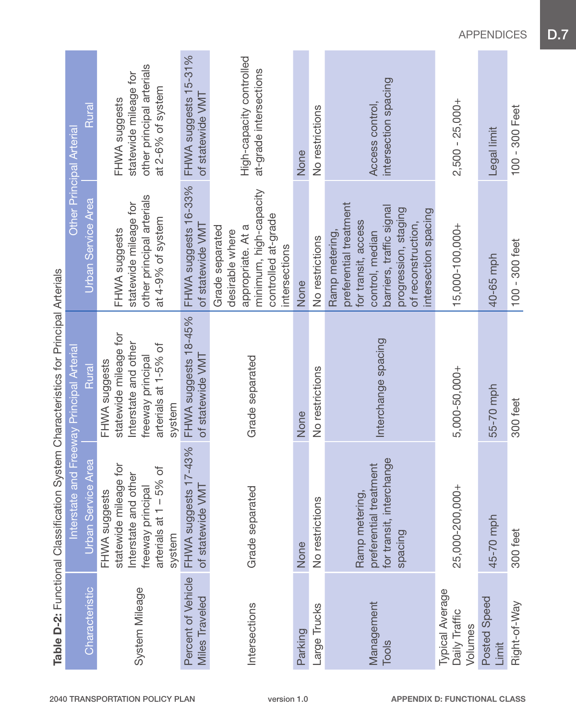|                                             | Table D-2: Functional Classification System Characteristics for Principal Arterials                                     |                                                                                                                       |                                                                                                                                                                                      |                                                                                          |
|---------------------------------------------|-------------------------------------------------------------------------------------------------------------------------|-----------------------------------------------------------------------------------------------------------------------|--------------------------------------------------------------------------------------------------------------------------------------------------------------------------------------|------------------------------------------------------------------------------------------|
|                                             | ntersta <sup>®</sup>                                                                                                    | e and Freeway Principal Arterial                                                                                      | <b>Other Principal Arterial</b>                                                                                                                                                      |                                                                                          |
| Characteristic                              | Urban Service Area                                                                                                      | Rural                                                                                                                 | Urban Service Area                                                                                                                                                                   | Rural                                                                                    |
| System Mileage                              | statewide mileage for<br>arterials at 1 - 5% of<br>Interstate and other<br>freeway principal<br>FHWA suggests<br>system | statewide mileage for<br>Interstate and other<br>arterials at 1-5% of<br>freeway principal<br>FHWA suggests<br>system | other principal arterials<br>statewide mileage for<br>at 4-9% of system<br>FHWA suggests                                                                                             | other principal arterials<br>statewide mileage for<br>at 2-6% of system<br>FHWA suggests |
| Percent of Vehicle<br>Miles Traveled        | FHWA suggests 17-43%<br>of statewide VMT                                                                                | FHWA suggests 18-45%<br>of statewide VMT                                                                              | FHWA suggests 16-33%<br>of statewide VMT                                                                                                                                             | FHWA suggests 15-31%<br>of statewide VMT                                                 |
| Intersections                               | Grade separated                                                                                                         | Grade separated                                                                                                       | minimum, high-capacity<br>controlled at-grade<br>Grade separated<br>appropriate. At a<br>desirable where<br>intersections                                                            | High-capacity controlled<br>at-grade intersections                                       |
| Parking                                     | None                                                                                                                    | None                                                                                                                  | None                                                                                                                                                                                 | None                                                                                     |
| Large Trucks                                | No restrictions                                                                                                         | No restrictions                                                                                                       | No restrictions                                                                                                                                                                      | No restrictions                                                                          |
| Management<br>Tools                         | for transit, interchange<br>preferential treatment<br>Ramp metering,<br>spacing                                         | Interchange spacing                                                                                                   | preferential treatment<br>barriers, traffic signal<br>progression, staging<br>intersection spacing<br>for transit, access<br>of reconstruction,<br>Ramp metering,<br>control, median | intersection spacing<br>Access control,                                                  |
| Typical Average<br>Daily Traffic<br>Volumes | 25,000-200,000+                                                                                                         | 5,000-50,000+                                                                                                         | 15,000-100,000+                                                                                                                                                                      | $2,500 - 25,000 +$                                                                       |
| Posted Speed<br>Limit                       | 45-70 mph                                                                                                               | 55-70 mph                                                                                                             | 40-65 mph                                                                                                                                                                            | Legal limit                                                                              |
| Right-of-Way                                | 300 feet                                                                                                                | 300 feet                                                                                                              | $100 - 300$ feet                                                                                                                                                                     | 100 - 300 Feet                                                                           |

starietice for Princinal Artariale Table D-2: Functional Classification System Characteristics for Principal Arterials Č £  $\overline{C}$  $rac{c}{2}$  $a$ tio al Claceific ction  $2.5m$ Ċ

APPENDICES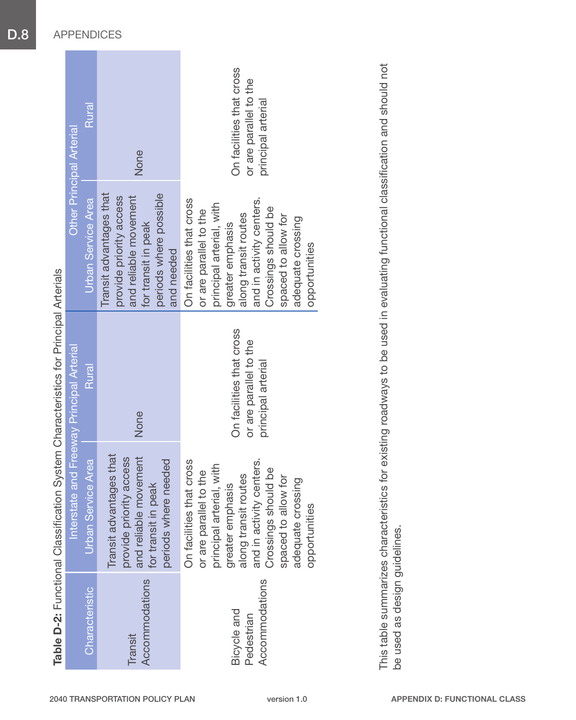| <b>Other Principal Arterial</b>           | Rural                     | None                                                                                                                                       | On facilities that cross<br>or are parallel to the<br>principal arterial                                                                                                                                                                   |
|-------------------------------------------|---------------------------|--------------------------------------------------------------------------------------------------------------------------------------------|--------------------------------------------------------------------------------------------------------------------------------------------------------------------------------------------------------------------------------------------|
|                                           | <b>Urban Service Area</b> | Transit advantages that<br>periods where possible<br>provide priority access<br>and reliable movement<br>for transit in peak<br>and needed | On facilities that cross<br>and in activity centers.<br>principal arterial, with<br>Crossings should be<br>or are parallel to the<br>along transit routes<br>spaced to allow for<br>adequate crossing<br>greater emphasis<br>opportunities |
| Interstate and Freeway Principal Arterial | Rural                     | None                                                                                                                                       | On facilities that cross<br>or are parallel to the<br>principal arterial                                                                                                                                                                   |
|                                           | Urban Service Area        | Transit advantages that<br>and reliable movement<br>provide priority access<br>periods where needed<br>for transit in peak                 | On facilities that cross<br>and in activity centers<br>principal arterial, with<br>Crossings should be<br>or are parallel to the<br>along transit routes<br>spaced to allow for<br>adequate crossing<br>greater emphasis<br>opportunities  |
|                                           | <b>Characteristic</b>     | Accommodations<br><b>Transit</b>                                                                                                           | Accommodations<br>Bicycle and<br>Pedestrian                                                                                                                                                                                                |

Table D-2: Functional Classification System Characteristics for Principal Arterials Table D-2: Functional Classification System Characteristics for Principal Arterials

This table summarizes characteristics for existing roadways to be used in evaluating functional classification and should not This table summarizes characteristics for existing roadways to be used in evaluating functional classification and should not be used as design guidelines. be used as design guidelines.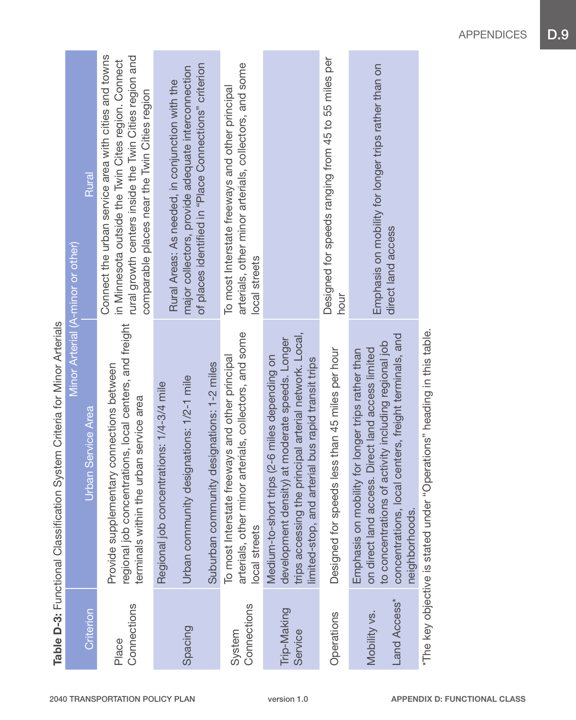|                              | <b>SHEEP AND A SHIP CONTROLL CONSTRUSION OF A SHIP CONSTRUCT OF A SHIP CONTROLL OF THE CONSTRUCT OF A SHIP CONSTRUCT OF A SHIP CONSTRUCT OF A SHIP CONSTRUCT OF A SHIP CONSTRUCT OF A SHIP CONSTRUCT OF A SHIP CONSTRUCT OF A SH</b>      |                                                                                                                                                                                                                        |
|------------------------------|-------------------------------------------------------------------------------------------------------------------------------------------------------------------------------------------------------------------------------------------|------------------------------------------------------------------------------------------------------------------------------------------------------------------------------------------------------------------------|
|                              | Minor Arterial (A-minor or other)                                                                                                                                                                                                         |                                                                                                                                                                                                                        |
| Criterion                    | Jrban Service Area                                                                                                                                                                                                                        | Rural                                                                                                                                                                                                                  |
| Connections<br>Place         | regional job concentrations, local centers, and freight<br>Provide supplementary connections between<br>e urban service area<br>terminals within th                                                                                       | Connect the urban service area with cities and towns<br>rural growth centers inside the Twin Cities region and<br>in Minnesota outside the Twin Cites region. Connect<br>comparable places near the Twin Cities region |
|                              | Regional job concentrations: 1/4-3/4 mile                                                                                                                                                                                                 | Rural Areas: As needed, in conjunction with the                                                                                                                                                                        |
| Spacing                      | designations: 1/2-1 mile<br>Urban community                                                                                                                                                                                               | of places identified in "Place Connections" criterion<br>major collectors, provide adequate interconnection                                                                                                            |
|                              | Suburban community designations: 1-2 miles                                                                                                                                                                                                |                                                                                                                                                                                                                        |
| Connections<br>System        | arterials, other minor arterials, collectors, and some<br>To most Interstate freeways and other principal<br>local streets                                                                                                                | arterials, other minor arterials, collectors, and some<br>To most Interstate freeways and other principal<br>local streets                                                                                             |
| Trip-Making<br>Service       | trips accessing the principal arterial network. Local,<br>development density) at moderate speeds. Longer<br>trips (2-6 miles depending on<br>limited-stop, and arterial bus rapid transit trips<br>Medium-to-short 1                     |                                                                                                                                                                                                                        |
| Operations                   | Designed for speeds less than 45 miles per hour                                                                                                                                                                                           | Designed for speeds ranging from 45 to 55 miles per<br>hour                                                                                                                                                            |
| Land Access*<br>Mobility vs. | concentrations, local centers, freight terminals, and<br>to concentrations of activity including regional job<br>on direct land access. Direct land access limited<br>Emphasis on mobility for longer trips rather than<br>neighborhoods. | Emphasis on mobility for longer trips rather than on<br>direct land access                                                                                                                                             |
|                              | "Operations" heading in this table.<br>*The key objective is stated under                                                                                                                                                                 |                                                                                                                                                                                                                        |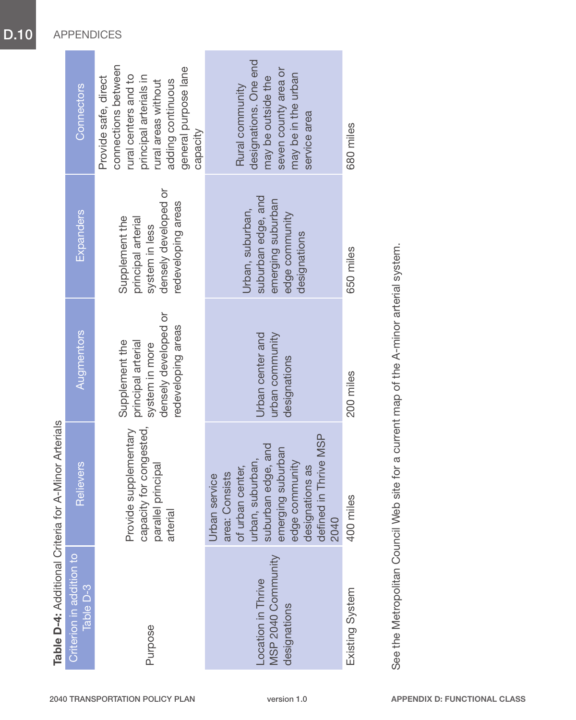|                                                          | Table D-4: Additional Criteria for A-Minor Arterials                                                                                                                                        |                                                                                                      |                                                                                                      |                                                                                                                                                                               |
|----------------------------------------------------------|---------------------------------------------------------------------------------------------------------------------------------------------------------------------------------------------|------------------------------------------------------------------------------------------------------|------------------------------------------------------------------------------------------------------|-------------------------------------------------------------------------------------------------------------------------------------------------------------------------------|
| Criterion in addition to<br>Table D-3                    | Relievers                                                                                                                                                                                   | Augmentors                                                                                           | <b>Expanders</b>                                                                                     | Connectors                                                                                                                                                                    |
| Purpose                                                  | for congested,<br>Provide supplementary<br>parallel principal<br>capacity<br>arterial                                                                                                       | densely developed or<br>redeveloping areas<br>principal arterial<br>Supplement the<br>system in more | densely developed or<br>redeveloping areas<br>Supplement the<br>principal arterial<br>system in less | connections between<br>general purpose lane<br>rural centers and to<br>principal arterials in<br>Provide safe, direct<br>rural areas without<br>adding continuous<br>capacity |
| MSP 2040 Community<br>Location in Thrive<br>designations | defined in Thrive MSP<br>suburban edge, and<br>suburban<br>urban, suburban,<br>edge community<br>of urban center,<br>designations as<br>area: Consists<br>Jrban service<br>emerging<br>2040 | urban community<br>Urban center and<br>designations                                                  | suburban edge, and<br>emerging suburban<br>Urban, suburban,<br>edge community<br>designations        | designations. One end<br>seven county area or<br>may be in the urban<br>may be outside the<br>Rural community<br>service area                                                 |
| Existing System                                          | 400 miles                                                                                                                                                                                   | 200 miles                                                                                            | 650 miles                                                                                            | 680 miles                                                                                                                                                                     |

See the Metropolitan Council Web site for a current map of the A-minor arterial system. See the Metropolitan Council Web site for a current map of the A-minor arterial system.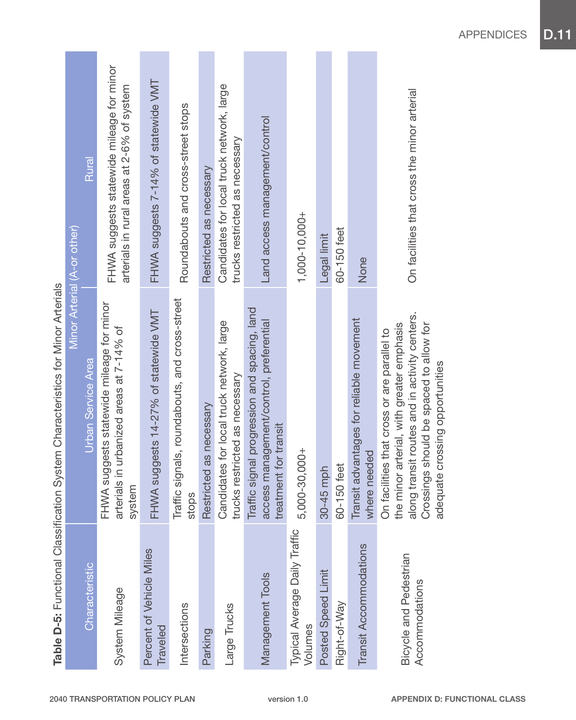|                                          | Table D-5: Functional Classification System Characteristics for Minor Arterials                                                                                                                                         |                                                                                         |
|------------------------------------------|-------------------------------------------------------------------------------------------------------------------------------------------------------------------------------------------------------------------------|-----------------------------------------------------------------------------------------|
|                                          |                                                                                                                                                                                                                         | Minor Arterial (A-or other)                                                             |
| Characteristic                           | Urban Service Area                                                                                                                                                                                                      | Rural                                                                                   |
| System Mileage                           | FHWA suggests statewide mileage for minor<br>arterials in urbanized areas at 7-14% of<br>system                                                                                                                         | FHWA suggests statewide mileage for minor<br>arterials in rural areas at 2-6% of system |
| Percent of Vehicle Miles<br>Traveled     | FHWA suggests 14-27% of statewide VMT                                                                                                                                                                                   | FHWA suggests 7-14% of statewide VMT                                                    |
| Intersections                            | Traffic signals, roundabouts, and cross-street<br>stops                                                                                                                                                                 | Roundabouts and cross-street stops                                                      |
| Parking                                  | Restricted as necessary                                                                                                                                                                                                 | Restricted as necessary                                                                 |
| Large Trucks                             | Candidates for local truck network, large<br>trucks restricted as necessary                                                                                                                                             | Candidates for local truck network, large<br>trucks restricted as necessary             |
| Management Tools                         | Traffic signal progression and spacing, land<br>access management/control, preferential<br>treatment for transit                                                                                                        | Land access management/control                                                          |
| Typical Average Daily Traffic<br>Volumes | 5,000-30,000+                                                                                                                                                                                                           | $1,000 - 10,000 +$                                                                      |
| Posted Speed Limit                       | 30-45 mph                                                                                                                                                                                                               | Legal limit                                                                             |
| Right-of-Way                             | 60-150 feet                                                                                                                                                                                                             | 60-150 feet                                                                             |
| Transit Accommodations                   | Transit advantages for reliable movement<br>where needed                                                                                                                                                                | None                                                                                    |
| Bicycle and Pedestrian<br>Accommodations | along transit routes and in activity centers.<br>Crossings should be spaced to allow for<br>the minor arterial, with greater emphasis<br>On facilities that cross or are parallel to<br>adequate crossing opportunities | On facilities that cross the minor arterial                                             |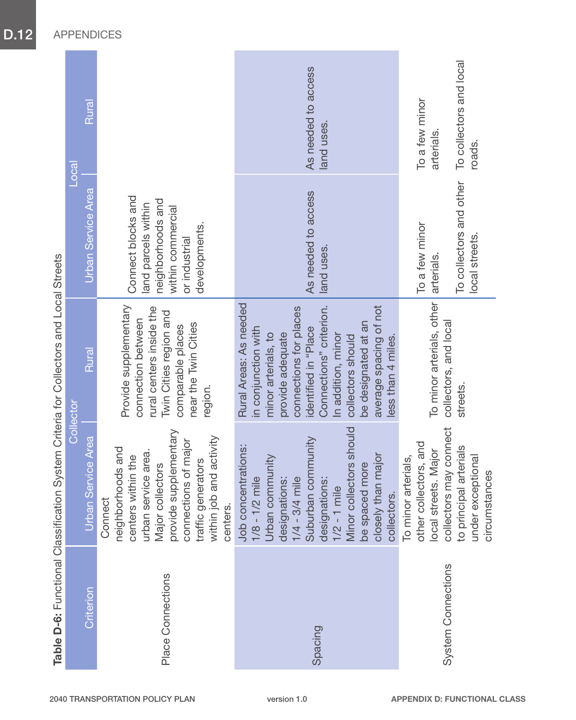|                           |                                                                                                                                                                                                                                          | - הייסטורים הייסטורים ביום המונח ביום המונח במונח המונח המונח המונח המונח המונח המונח המונח המונח המונח המונח ה<br>המונח המונח המונח המונח המונח המונח המונח המונח המונח המונח המונח המונח המונח המונח המונח המונח המונח המונח ה<br>Collector                                           |                                                                                                                       | Loca                                                              |
|---------------------------|------------------------------------------------------------------------------------------------------------------------------------------------------------------------------------------------------------------------------------------|-----------------------------------------------------------------------------------------------------------------------------------------------------------------------------------------------------------------------------------------------------------------------------------------|-----------------------------------------------------------------------------------------------------------------------|-------------------------------------------------------------------|
| Criterion                 | Service Area<br>Urban                                                                                                                                                                                                                    | Rural                                                                                                                                                                                                                                                                                   | Urban Service Area                                                                                                    | Rural                                                             |
| Place Connections         | provide supplementary<br>within job and activity<br>connections of major<br>neighborhoods and<br>urban service area.<br>centers within the<br>traffic generators<br>Major collectors<br>Connect<br>centers.                              | Provide supplementary<br>rural centers inside the<br>Twin Cities region and<br>connection between<br>near the Twin Cities<br>comparable places<br>region.                                                                                                                               | Connect blocks and<br>neighborhoods and<br>land parcels within<br>within commercial<br>developments.<br>or industrial |                                                                   |
| Spacing                   | Minor collectors should<br>Suburban community<br>Job concentrations:<br>closely than major<br>Urban community<br>be spaced more<br>$1/4 - 3/4$ mile<br>designations:<br>1/2 - 1 mile<br>$1/8 - 1/2$ mile<br>designations:<br>collectors. | Rural Areas: As needed<br>Connections" criterion.<br>average spacing of not<br>connections for places<br>be designated at an<br>in conjunction with<br>identified in "Place<br>minor arterials, to<br>provide adequate<br>In addition, minor<br>collectors should<br>less than 4 miles. | As needed to access<br>land uses.                                                                                     | As needed to access<br>land uses.                                 |
| <b>System Connections</b> | collectors may connect<br>other collectors, and<br>to principal arterials<br>local streets. Major<br>arterials,<br>under exceptional<br>circumstances<br>To minor                                                                        | To minor arterials, other<br>collectors, and local<br>streets.                                                                                                                                                                                                                          | To collectors and other<br>To a few minor<br>local streets.<br>arterials.                                             | To collectors and local<br>To a few minor<br>arterials.<br>roads. |

Table D-6: Functional Classification System Criteria for Collectors and Local Streets Table D-6: Functional Classification System Criteria for Collectors and Local Streets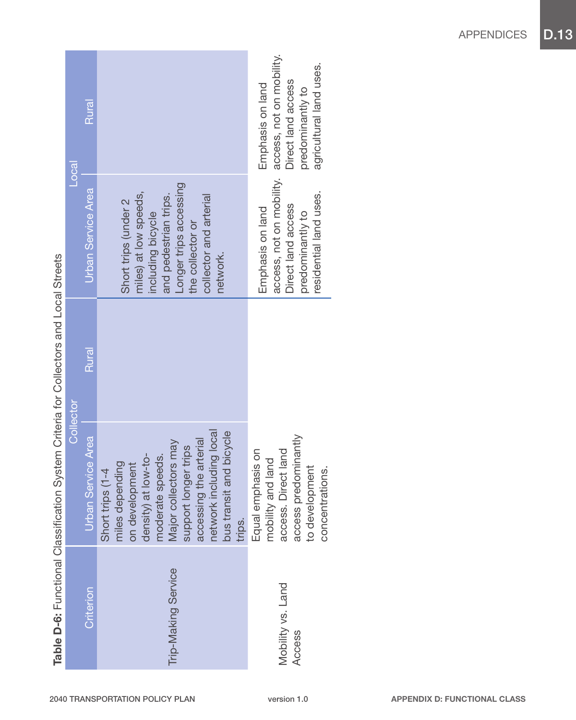|                                                                                                                                                                                                                                  | Loca             | Rural                     |                                                                                                                                                                                                                                            | access, not on mobility.<br>agricultural land uses.<br>Direct land access<br>Emphasis on land<br>predominantly to                  |
|----------------------------------------------------------------------------------------------------------------------------------------------------------------------------------------------------------------------------------|------------------|---------------------------|--------------------------------------------------------------------------------------------------------------------------------------------------------------------------------------------------------------------------------------------|------------------------------------------------------------------------------------------------------------------------------------|
|                                                                                                                                                                                                                                  |                  | <b>Urban Service Area</b> | Longer trips accessing<br>miles) at low speeds,<br>and pedestrian trips.<br>collector and arterial<br>Short trips (under 2<br>including bicycle<br>the collector or<br>network.                                                            | access, not on mobility.<br>residential land uses.<br>Direct land access<br>Emphasis on land<br>predominantly to                   |
|                                                                                                                                                                                                                                  | <b>Collector</b> | Rural                     |                                                                                                                                                                                                                                            |                                                                                                                                    |
| - האירוני האירוני האירוני האירוני האירוני האירוני האירוני האירוני האירוני האירוני האירוני האירוני האירוני האיר<br>האירוני האירוני האירוני האירוני האירוני האירוני האירוני האירוני האירוני האירוני האירוני האירוני האירוני האירונ |                  | <b>Urban Service Area</b> | network including local<br>bus transit and bicycle<br>accessing the arterial<br>Major collectors may<br>support longer trips<br>density) at low-to-<br>moderate speeds.<br>miles depending<br>on development<br>Short trips (1-4<br>trips. | oredominantly<br>Equal emphasis on<br>Direct land<br>mobility and land<br>to development<br>concentrations.<br>access p<br>access. |
|                                                                                                                                                                                                                                  |                  | Criterion                 | Trip-Making Service                                                                                                                                                                                                                        | Mobility vs. Land<br>Access                                                                                                        |

a.



**Contract Contract**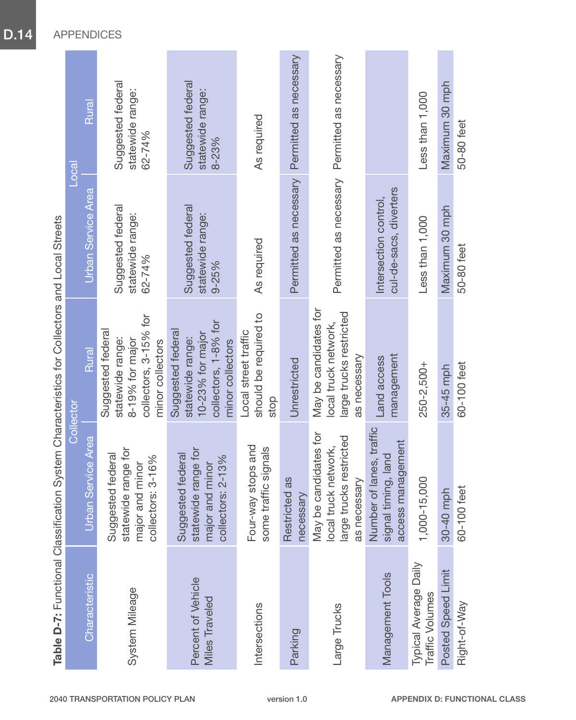|                                             | בה המשורש המונים בה המונים בין המונים במונים במונים במונים במונים במונים במונים בין בין <b>בין המוני</b> ם בין המונים ב<br>במונים המונים בין המונים בין המונים בין המונים במונים במונים במונים במונים במונים במונים במונים במונים במונ |                                                                                                       |                                                    |                                                 |
|---------------------------------------------|----------------------------------------------------------------------------------------------------------------------------------------------------------------------------------------------------------------------------------------|-------------------------------------------------------------------------------------------------------|----------------------------------------------------|-------------------------------------------------|
|                                             | Collector                                                                                                                                                                                                                              |                                                                                                       |                                                    | 20 <sub>ca</sub>                                |
| Characteristic                              | Service Area<br>Urban                                                                                                                                                                                                                  | Rural                                                                                                 | Urban Service Area                                 | Rural                                           |
| System Mileage                              | statewide range for<br>Suggested federal<br>collectors: 3-16%<br>major and minor                                                                                                                                                       | collectors, 3-15% for<br>Suggested federal<br>statewide range:<br>8-19% for major<br>minor collectors | Suggested federal<br>statewide range:<br>62-74%    | Suggested federal<br>statewide range:<br>62-74% |
| Percent of Vehicle<br><b>Miles Traveled</b> | statewide range for<br>Suggested federal<br>collectors: 2-13%<br>major and minor                                                                                                                                                       | collectors, 1-8% for<br>Suggested federal<br>10-23% for major<br>statewide range:<br>minor collectors | Suggested federal<br>statewide range:<br>$9 - 25%$ | Suggested federal<br>statewide range:<br>8-23%  |
| Intersections                               | Four-way stops and<br>some traffic signals                                                                                                                                                                                             | should be required to<br>Local street traffic<br>stop                                                 | As required                                        | As required                                     |
| Parking                                     | Restricted as<br>necessary                                                                                                                                                                                                             | Unrestricted                                                                                          | Permitted as necessary                             | Permitted as necessary                          |
| Large Trucks                                | May be candidates for<br>large trucks restricted<br>local truck network,<br>as necessary                                                                                                                                               | May be candidates for<br>large trucks restricted<br>local truck network,<br>as necessary              | Permitted as necessary                             | Permitted as necessary                          |
| Management Tools                            | of lanes, traffic<br>access management<br>signal timing, land<br>Number                                                                                                                                                                | management<br>Land access                                                                             | cul-de-sacs, diverters<br>Intersection control,    |                                                 |
| Typical Average Daily<br>Traffic Volumes    | 1,000-15,000                                                                                                                                                                                                                           | 250-2,500+                                                                                            | Less than 1,000                                    | Less than 1,000                                 |
| Posted Speed Limit                          | 30-40 mph                                                                                                                                                                                                                              | $35-45$ mph                                                                                           | Maximum 30 mph                                     | Maximum 30 mph                                  |
| Right-of-Way                                | 60-100 feet                                                                                                                                                                                                                            | 60-100 feet                                                                                           | 50-80 feet                                         | 50-80 feet                                      |

**Functional Classification System Characteristics for Collectors and Local Streets** Table D-7: Functional Classification System Characteristics for Collectors and Local Streets  $\vec{c}$ Tahle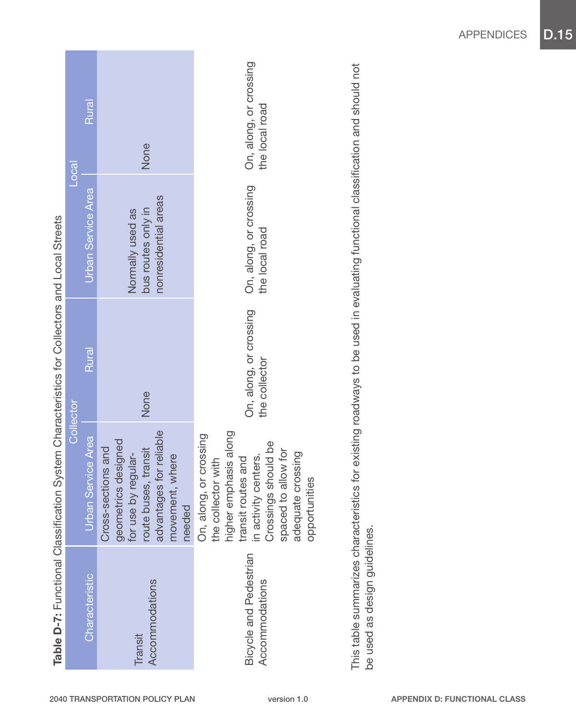|                                          |                                                                                                                                                                                                            | Table D-7: Functional Classification System Characteristics for Collectors and Local Streets                                  |                                                                |                                          |
|------------------------------------------|------------------------------------------------------------------------------------------------------------------------------------------------------------------------------------------------------------|-------------------------------------------------------------------------------------------------------------------------------|----------------------------------------------------------------|------------------------------------------|
|                                          |                                                                                                                                                                                                            | <b>Collector</b>                                                                                                              |                                                                | $\overline{\text{10}}$ cal               |
| Characteristic                           | <b>Urban Service Area</b>                                                                                                                                                                                  | Rural                                                                                                                         | <b>Urban Service Area</b>                                      | Rural                                    |
| Accommodations<br>Transit                | advantages for reliable<br>geometrics designed<br>Cross-sections and<br>route buses, transit<br>by regular-<br>movement, where<br>needed<br>for use <b>h</b>                                               | None                                                                                                                          | nonresidential areas<br>bus routes only in<br>Normally used as | None                                     |
| Bicycle and Pedestrian<br>Accommodations | higher emphasis along<br>On, along, or crossing<br>Crossings should be<br>to allow for<br>adequate crossing<br>in activity centers.<br>transit routes and<br>the collector with<br>opportunities<br>spaced | On, along, or crossing<br>the collector                                                                                       | On, along, or crossing<br>the local road                       | On, along, or crossing<br>the local road |
|                                          |                                                                                                                                                                                                            | This table summarizes characteristics for evisting roadways to be used in evaluating functional classification and should not |                                                                |                                          |

This table summarizes characteristics for existing roadways to be used in evaluating functional classification and should not **TOLL DIDOLIS**  $\overline{2}$ Ą Uldullodiu be used in evaluating initial existing roadways to l his table summarizes characteristics for<br>be used as design guidelines. be used as design guidelines.